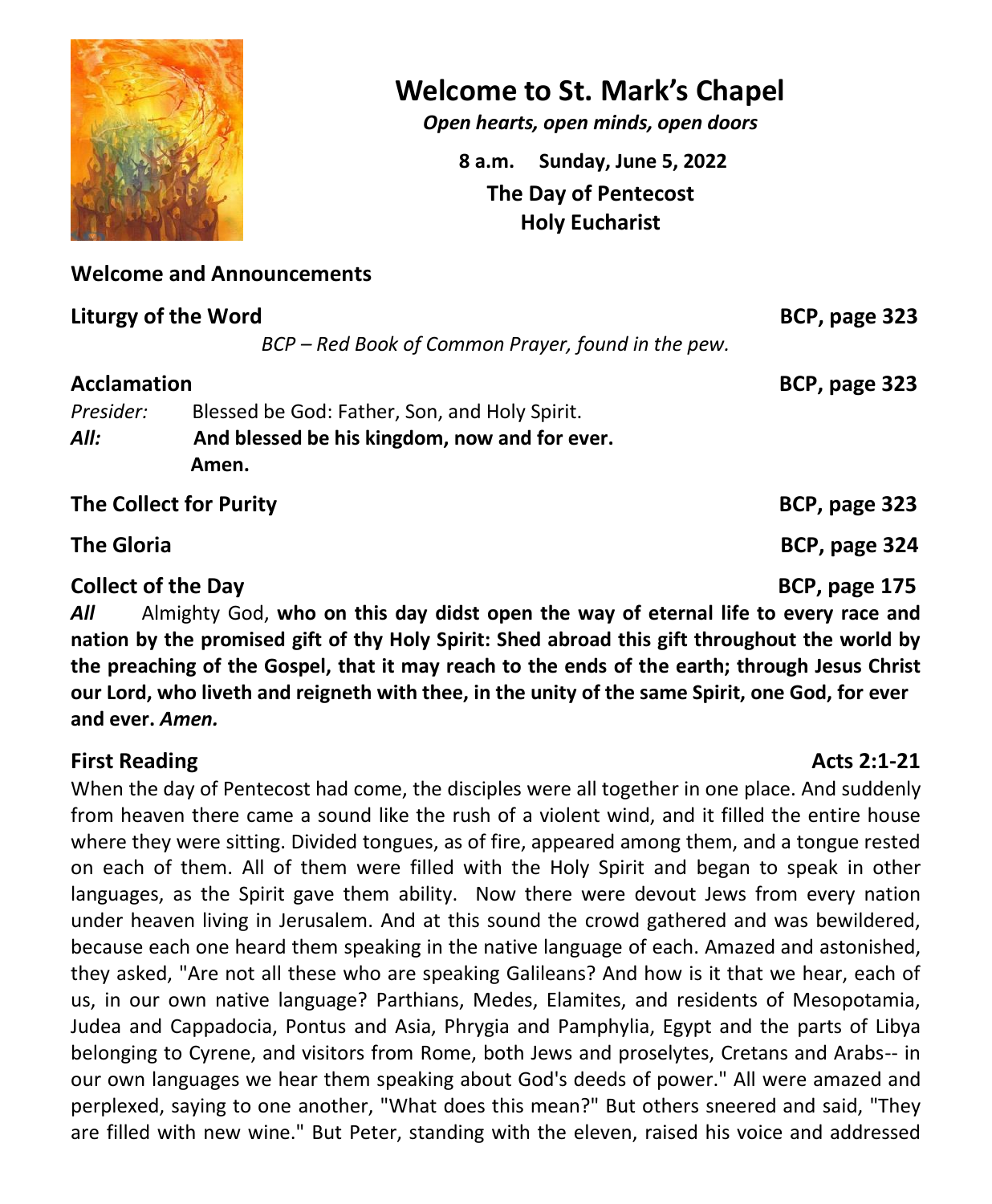

## **Welcome to St. Mark's Chapel**

*Open hearts, open minds, open doors*

**8 a.m. Sunday, June 5, 2022 The Day of Pentecost Holy Eucharist**

#### **Welcome and Announcements**

| <b>Liturgy of the Word</b> |                                                    | BCP, page 323 |
|----------------------------|----------------------------------------------------|---------------|
|                            | BCP - Red Book of Common Prayer, found in the pew. |               |
| <b>Acclamation</b>         |                                                    | BCP, page 323 |
| Presider:                  | Blessed be God: Father, Son, and Holy Spirit.      |               |
| All:                       | And blessed be his kingdom, now and for ever.      |               |
|                            | Amen.                                              |               |
| The Collect for Purity     |                                                    | BCP, page 323 |
| <b>The Gloria</b>          |                                                    | BCP, page 324 |
| <b>Collect of the Day</b>  |                                                    | BCP, page 175 |

*All* Almighty God, **who on this day didst open the way of eternal life to every race and nation by the promised gift of thy Holy Spirit: Shed abroad this gift throughout the world by the preaching of the Gospel, that it may reach to the ends of the earth; through Jesus Christ our Lord, who liveth and reigneth with thee, in the unity of the same Spirit, one God, for ever and ever.** *Amen.*

#### **First Reading Acts 2:1-21**

When the day of Pentecost had come, the disciples were all together in one place. And suddenly from heaven there came a sound like the rush of a violent wind, and it filled the entire house where they were sitting. Divided tongues, as of fire, appeared among them, and a tongue rested on each of them. All of them were filled with the Holy Spirit and began to speak in other languages, as the Spirit gave them ability. Now there were devout Jews from every nation under heaven living in Jerusalem. And at this sound the crowd gathered and was bewildered, because each one heard them speaking in the native language of each. Amazed and astonished, they asked, "Are not all these who are speaking Galileans? And how is it that we hear, each of us, in our own native language? Parthians, Medes, Elamites, and residents of Mesopotamia, Judea and Cappadocia, Pontus and Asia, Phrygia and Pamphylia, Egypt and the parts of Libya belonging to Cyrene, and visitors from Rome, both Jews and proselytes, Cretans and Arabs-- in our own languages we hear them speaking about God's deeds of power." All were amazed and perplexed, saying to one another, "What does this mean?" But others sneered and said, "They are filled with new wine." But Peter, standing with the eleven, raised his voice and addressed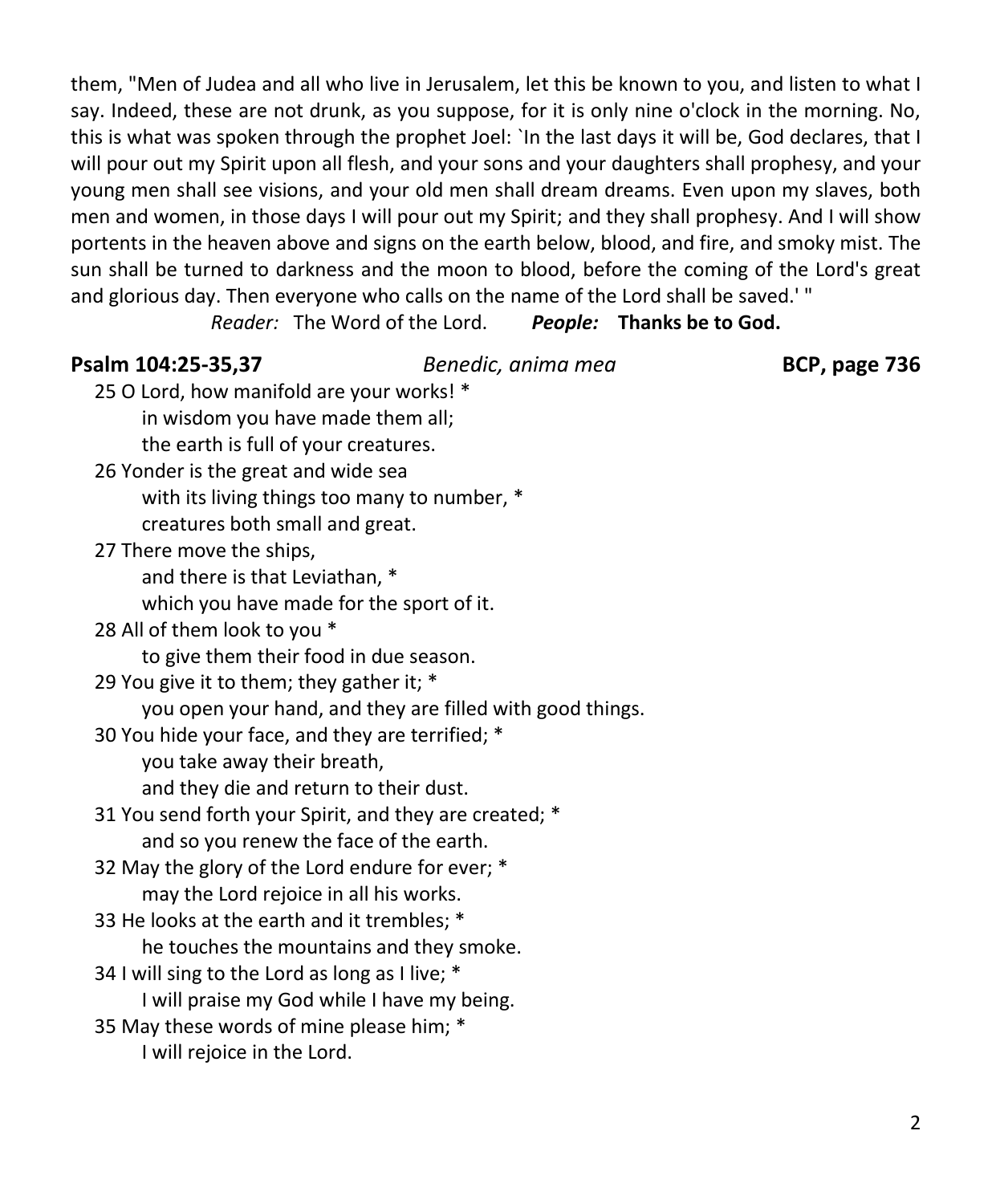them, "Men of Judea and all who live in Jerusalem, let this be known to you, and listen to what I say. Indeed, these are not drunk, as you suppose, for it is only nine o'clock in the morning. No, this is what was spoken through the prophet Joel: `In the last days it will be, God declares, that I will pour out my Spirit upon all flesh, and your sons and your daughters shall prophesy, and your young men shall see visions, and your old men shall dream dreams. Even upon my slaves, both men and women, in those days I will pour out my Spirit; and they shall prophesy. And I will show portents in the heaven above and signs on the earth below, blood, and fire, and smoky mist. The sun shall be turned to darkness and the moon to blood, before the coming of the Lord's great and glorious day. Then everyone who calls on the name of the Lord shall be saved.' "

*Reader:* The Word of the Lord. *People:* **Thanks be to God.**

#### **Psalm 104:25-35,37** *Benedic, anima mea* **BCP, page 736**

25 O Lord, how manifold are your works! \* in wisdom you have made them all; the earth is full of your creatures. 26 Yonder is the great and wide sea with its living things too many to number, \* creatures both small and great. 27 There move the ships, and there is that Leviathan, \* which you have made for the sport of it. 28 All of them look to you \* to give them their food in due season. 29 You give it to them; they gather it; \* you open your hand, and they are filled with good things. 30 You hide your face, and they are terrified; \* you take away their breath, and they die and return to their dust. 31 You send forth your Spirit, and they are created; \* and so you renew the face of the earth. 32 May the glory of the Lord endure for ever; \* may the Lord rejoice in all his works. 33 He looks at the earth and it trembles; \* he touches the mountains and they smoke. 34 I will sing to the Lord as long as I live; \* I will praise my God while I have my being. 35 May these words of mine please him; \* I will rejoice in the Lord.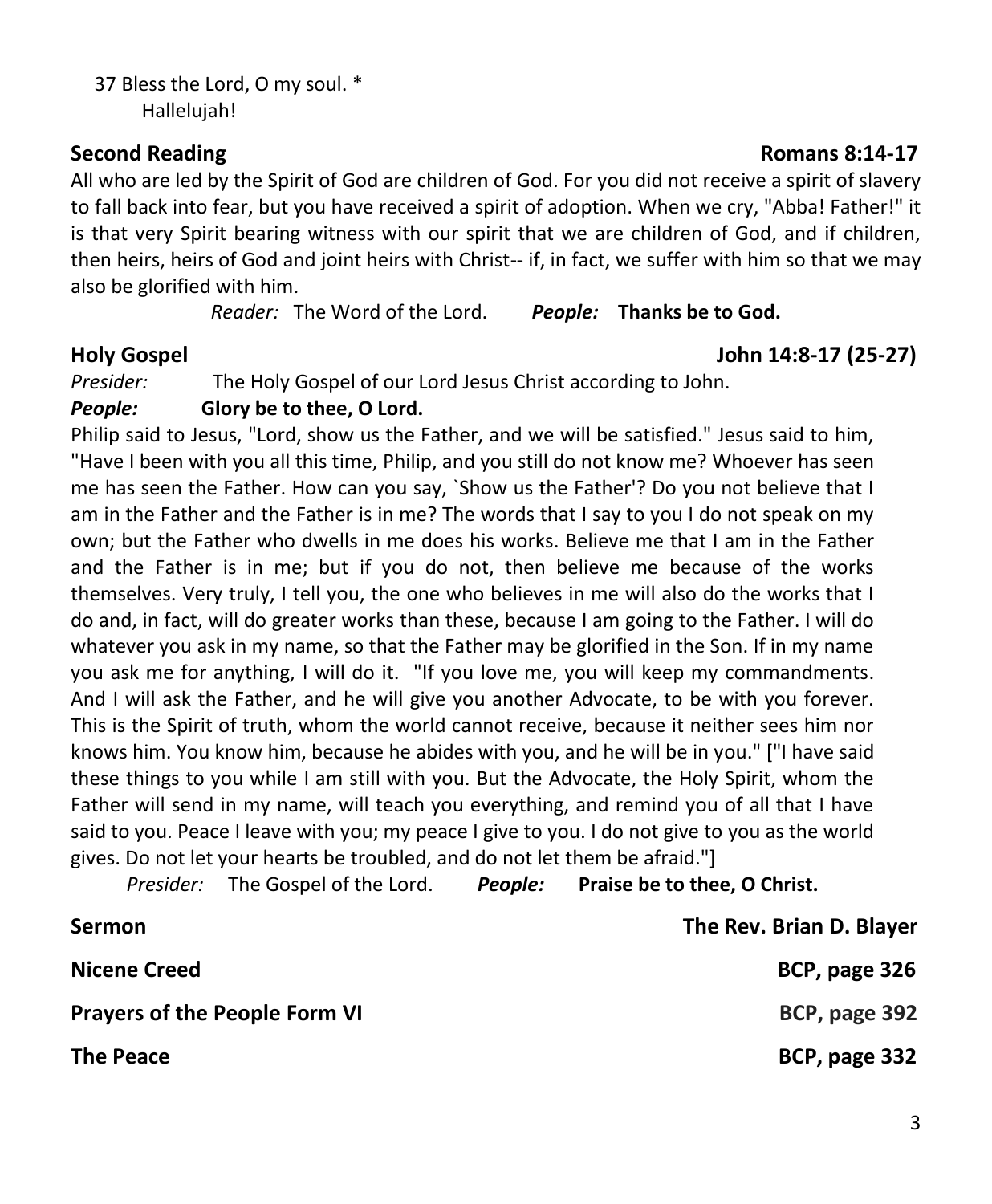37 Bless the Lord, O my soul. \* Hallelujah!

All who are led by the Spirit of God are children of God. For you did not receive a spirit of slavery to fall back into fear, but you have received a spirit of adoption. When we cry, "Abba! Father!" it is that very Spirit bearing witness with our spirit that we are children of God, and if children, then heirs, heirs of God and joint heirs with Christ-- if, in fact, we suffer with him so that we may also be glorified with him.

*Reader:* The Word of the Lord. *People:* **Thanks be to God.**

#### **Holy Gospel John 14:8-17 (25-27)**

*Presider:* The Holy Gospel of our Lord Jesus Christ according to John.

#### *People:* **Glory be to thee, O Lord.**

Philip said to Jesus, "Lord, show us the Father, and we will be satisfied." Jesus said to him, "Have I been with you all this time, Philip, and you still do not know me? Whoever has seen me has seen the Father. How can you say, `Show us the Father'? Do you not believe that I am in the Father and the Father is in me? The words that I say to you I do not speak on my own; but the Father who dwells in me does his works. Believe me that I am in the Father and the Father is in me; but if you do not, then believe me because of the works themselves. Very truly, I tell you, the one who believes in me will also do the works that I do and, in fact, will do greater works than these, because I am going to the Father. I will do whatever you ask in my name, so that the Father may be glorified in the Son. If in my name you ask me for anything, I will do it. "If you love me, you will keep my commandments. And I will ask the Father, and he will give you another Advocate, to be with you forever. This is the Spirit of truth, whom the world cannot receive, because it neither sees him nor knows him. You know him, because he abides with you, and he will be in you." ["I have said these things to you while I am still with you. But the Advocate, the Holy Spirit, whom the Father will send in my name, will teach you everything, and remind you of all that I have said to you. Peace I leave with you; my peace I give to you. I do not give to you as the world gives. Do not let your hearts be troubled, and do not let them be afraid."]

*Presider:* The Gospel of the Lord. *People:* **Praise be to thee, O Christ.**

| <b>Sermon</b>                        | The Rev. Brian D. Blayer |
|--------------------------------------|--------------------------|
| <b>Nicene Creed</b>                  | BCP, page 326            |
| <b>Prayers of the People Form VI</b> | BCP, page 392            |
| <b>The Peace</b>                     | BCP, page 332            |

#### **Second Reading Romans 8:14-17**